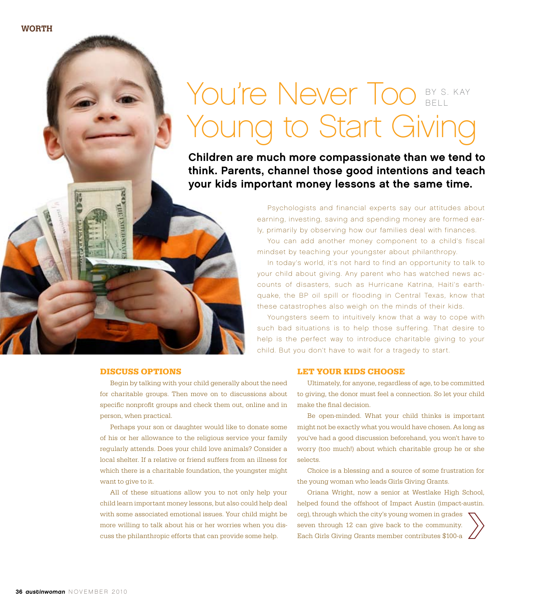You're Never Too Young to Start Giving BY S. KAY Bell

Children are much more compassionate than we tend to think. Parents, channel those good intentions and teach your kids important money lessons at the same time.

> Psychologists and financial experts say our attitudes about earning, investing, saving and spending money are formed early, primarily by observing how our families deal with finances. You can add another money component to a child's fiscal mindset by teaching your youngster about philanthropy.

> In today's world, it's not hard to find an opportunity to talk to your child about giving. Any parent who has watched news accounts of disasters, such as Hurricane Katrina, Haiti's earthquake, the BP oil spill or flooding in Central Texas, know that these catastrophes also weigh on the minds of their kids.

> Youngsters seem to intuitively know that a way to cope with such bad situations is to help those suffering. That desire to help is the perfect way to introduce charitable giving to your child. But you don't have to wait for a tragedy to start.

## **Discuss Options**

manxhama<sub>cos</sub>

Begin by talking with your child generally about the need for charitable groups. Then move on to discussions about specific nonprofit groups and check them out, online and in person, when practical.

Perhaps your son or daughter would like to donate some of his or her allowance to the religious service your family regularly attends. Does your child love animals? Consider a local shelter. If a relative or friend suffers from an illness for which there is a charitable foundation, the youngster might want to give to it.

All of these situations allow you to not only help your child learn important money lessons, but also could help deal with some associated emotional issues. Your child might be more willing to talk about his or her worries when you discuss the philanthropic efforts that can provide some help.

## **Let Your Kids Choose**

Ultimately, for anyone, regardless of age, to be committed to giving, the donor must feel a connection. So let your child make the final decision.

Be open-minded. What your child thinks is important might not be exactly what you would have chosen. As long as you've had a good discussion beforehand, you won't have to worry (too much!) about which charitable group he or she selects.

Choice is a blessing and a source of some frustration for the young woman who leads Girls Giving Grants.

Oriana Wright, now a senior at Westlake High School, helped found the offshoot of Impact Austin (impact-austin. org), through which the city's young women in grades seven through 12 can give back to the community. Each Girls Giving Grants member contributes \$100-a

**worth**